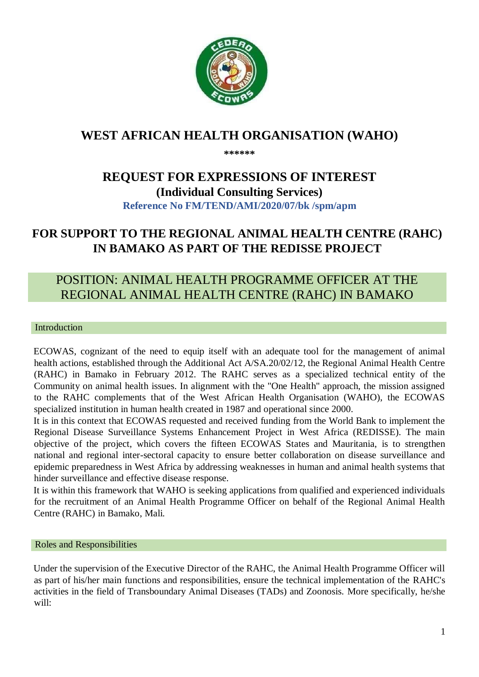

## **WEST AFRICAN HEALTH ORGANISATION (WAHO)**

**\*\*\*\*\*\*** 

# **REQUEST FOR EXPRESSIONS OF INTEREST (Individual Consulting Services) Reference No FM/TEND/AMI/2020/07/bk /spm/apm**

# **FOR SUPPORT TO THE REGIONAL ANIMAL HEALTH CENTRE (RAHC) IN BAMAKO AS PART OF THE REDISSE PROJECT**

## POSITION: ANIMAL HEALTH PROGRAMME OFFICER AT THE REGIONAL ANIMAL HEALTH CENTRE (RAHC) IN BAMAKO

#### Introduction

ECOWAS, cognizant of the need to equip itself with an adequate tool for the management of animal health actions, established through the Additional Act A/SA.20/02/12, the Regional Animal Health Centre (RAHC) in Bamako in February 2012. The RAHC serves as a specialized technical entity of the Community on animal health issues. In alignment with the "One Health" approach, the mission assigned to the RAHC complements that of the West African Health Organisation (WAHO), the ECOWAS specialized institution in human health created in 1987 and operational since 2000.

It is in this context that ECOWAS requested and received funding from the World Bank to implement the Regional Disease Surveillance Systems Enhancement Project in West Africa (REDISSE). The main objective of the project, which covers the fifteen ECOWAS States and Mauritania, is to strengthen national and regional inter-sectoral capacity to ensure better collaboration on disease surveillance and epidemic preparedness in West Africa by addressing weaknesses in human and animal health systems that hinder surveillance and effective disease response.

It is within this framework that WAHO is seeking applications from qualified and experienced individuals for the recruitment of an Animal Health Programme Officer on behalf of the Regional Animal Health Centre (RAHC) in Bamako, Mali.

#### Roles and Responsibilities

Under the supervision of the Executive Director of the RAHC, the Animal Health Programme Officer will as part of his/her main functions and responsibilities, ensure the technical implementation of the RAHC's activities in the field of Transboundary Animal Diseases (TADs) and Zoonosis. More specifically, he/she will: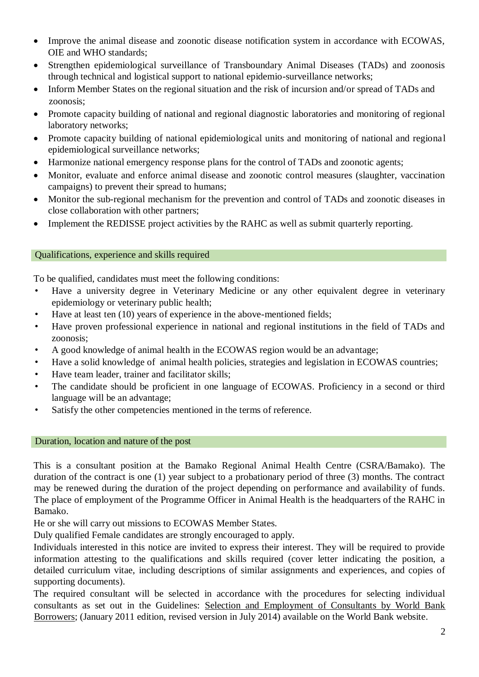- Improve the animal disease and zoonotic disease notification system in accordance with ECOWAS, OIE and WHO standards;
- Strengthen epidemiological surveillance of Transboundary Animal Diseases (TADs) and zoonosis through technical and logistical support to national epidemio-surveillance networks;
- Inform Member States on the regional situation and the risk of incursion and/or spread of TADs and zoonosis;
- Promote capacity building of national and regional diagnostic laboratories and monitoring of regional laboratory networks;
- Promote capacity building of national epidemiological units and monitoring of national and regional epidemiological surveillance networks;
- Harmonize national emergency response plans for the control of TADs and zoonotic agents;
- Monitor, evaluate and enforce animal disease and zoonotic control measures (slaughter, vaccination campaigns) to prevent their spread to humans;
- Monitor the sub-regional mechanism for the prevention and control of TADs and zoonotic diseases in close collaboration with other partners;
- Implement the REDISSE project activities by the RAHC as well as submit quarterly reporting.

### Qualifications, experience and skills required

To be qualified, candidates must meet the following conditions:

- Have a university degree in Veterinary Medicine or any other equivalent degree in veterinary epidemiology or veterinary public health;
- Have at least ten (10) years of experience in the above-mentioned fields;
- Have proven professional experience in national and regional institutions in the field of TADs and zoonosis;
- A good knowledge of animal health in the ECOWAS region would be an advantage;
- Have a solid knowledge of animal health policies, strategies and legislation in ECOWAS countries;
- Have team leader, trainer and facilitator skills;
- The candidate should be proficient in one language of ECOWAS. Proficiency in a second or third language will be an advantage;
- Satisfy the other competencies mentioned in the terms of reference.

#### Duration, location and nature of the post

This is a consultant position at the Bamako Regional Animal Health Centre (CSRA/Bamako). The duration of the contract is one (1) year subject to a probationary period of three (3) months. The contract may be renewed during the duration of the project depending on performance and availability of funds. The place of employment of the Programme Officer in Animal Health is the headquarters of the RAHC in Bamako.

He or she will carry out missions to ECOWAS Member States.

Duly qualified Female candidates are strongly encouraged to apply.

Individuals interested in this notice are invited to express their interest. They will be required to provide information attesting to the qualifications and skills required (cover letter indicating the position, a detailed curriculum vitae, including descriptions of similar assignments and experiences, and copies of supporting documents).

The required consultant will be selected in accordance with the procedures for selecting individual consultants as set out in the Guidelines: Selection and Employment of Consultants by World Bank Borrowers; (January 2011 edition, revised version in July 2014) available on the World Bank website.